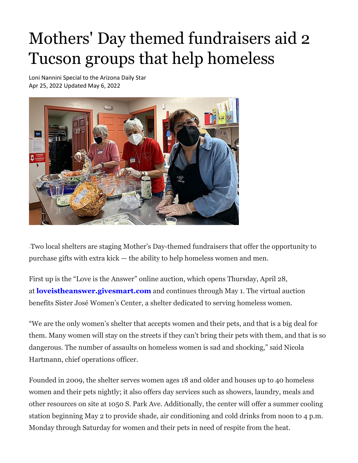## Mothers' Day themed fundraisers aid 2 Tucson groups that help homeless

Loni Nannini Special to the Arizona Daily Star Apr 25, 2022 Updated May 6, 2022



Two local shelters are staging Mother's Day-themed fundraisers that offer the opportunity to purchase gifts with extra kick — the ability to help homeless women and men.

First up is the "Love is the Answer" online auction, which opens Thursday, April 28, at **[loveistheanswer.givesmart.com](http://loveistheanswer.givesmart.com/)** and continues through May 1. The virtual auction benefits Sister José Women's Center, a shelter dedicated to serving homeless women.

"We are the only women's shelter that accepts women and their pets, and that is a big deal for them. Many women will stay on the streets if they can't bring their pets with them, and that is so dangerous. The number of assaults on homeless women is sad and shocking," said Nicola Hartmann, chief operations officer.

Founded in 2009, the shelter serves women ages 18 and older and houses up to 40 homeless women and their pets nightly; it also offers day services such as showers, laundry, meals and other resources on site at 1050 S. Park Ave. Additionally, the center will offer a summer cooling station beginning May 2 to provide shade, air conditioning and cold drinks from noon to 4 p.m. Monday through Saturday for women and their pets in need of respite from the heat.